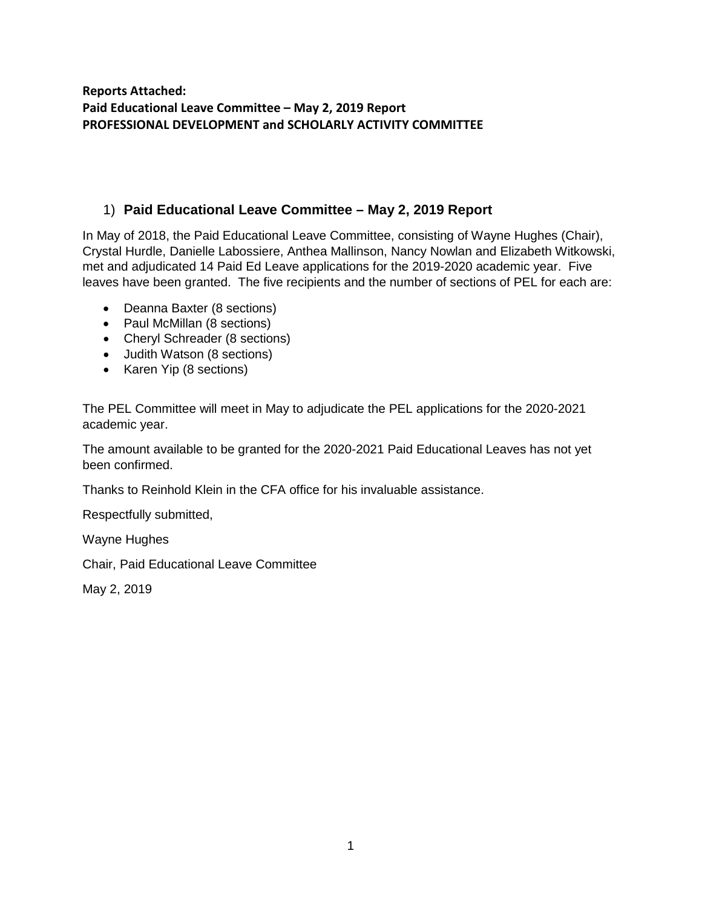**Reports Attached: Paid Educational Leave Committee – May 2, 2019 Report PROFESSIONAL DEVELOPMENT and SCHOLARLY ACTIVITY COMMITTEE**

## 1) **Paid Educational Leave Committee – May 2, 2019 Report**

In May of 2018, the Paid Educational Leave Committee, consisting of Wayne Hughes (Chair), Crystal Hurdle, Danielle Labossiere, Anthea Mallinson, Nancy Nowlan and Elizabeth Witkowski, met and adjudicated 14 Paid Ed Leave applications for the 2019-2020 academic year. Five leaves have been granted. The five recipients and the number of sections of PEL for each are:

- Deanna Baxter (8 sections)
- Paul McMillan (8 sections)
- Cheryl Schreader (8 sections)
- Judith Watson (8 sections)
- Karen Yip (8 sections)

The PEL Committee will meet in May to adjudicate the PEL applications for the 2020-2021 academic year.

The amount available to be granted for the 2020-2021 Paid Educational Leaves has not yet been confirmed.

Thanks to Reinhold Klein in the CFA office for his invaluable assistance.

Respectfully submitted,

Wayne Hughes

Chair, Paid Educational Leave Committee

May 2, 2019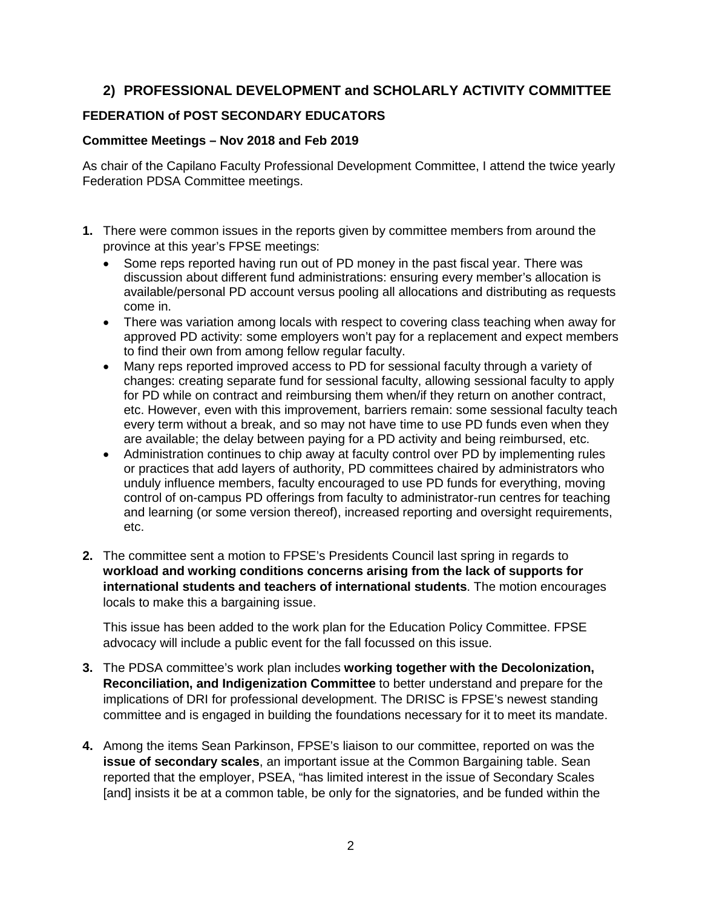# **2) PROFESSIONAL DEVELOPMENT and SCHOLARLY ACTIVITY COMMITTEE**

## **FEDERATION of POST SECONDARY EDUCATORS**

#### **Committee Meetings – Nov 2018 and Feb 2019**

As chair of the Capilano Faculty Professional Development Committee, I attend the twice yearly Federation PDSA Committee meetings.

- **1.** There were common issues in the reports given by committee members from around the province at this year's FPSE meetings:
	- Some reps reported having run out of PD money in the past fiscal year. There was discussion about different fund administrations: ensuring every member's allocation is available/personal PD account versus pooling all allocations and distributing as requests come in.
	- There was variation among locals with respect to covering class teaching when away for approved PD activity: some employers won't pay for a replacement and expect members to find their own from among fellow regular faculty.
	- Many reps reported improved access to PD for sessional faculty through a variety of changes: creating separate fund for sessional faculty, allowing sessional faculty to apply for PD while on contract and reimbursing them when/if they return on another contract, etc. However, even with this improvement, barriers remain: some sessional faculty teach every term without a break, and so may not have time to use PD funds even when they are available; the delay between paying for a PD activity and being reimbursed, etc.
	- Administration continues to chip away at faculty control over PD by implementing rules or practices that add layers of authority, PD committees chaired by administrators who unduly influence members, faculty encouraged to use PD funds for everything, moving control of on-campus PD offerings from faculty to administrator-run centres for teaching and learning (or some version thereof), increased reporting and oversight requirements, etc.
- **2.** The committee sent a motion to FPSE's Presidents Council last spring in regards to **workload and working conditions concerns arising from the lack of supports for international students and teachers of international students**. The motion encourages locals to make this a bargaining issue.

This issue has been added to the work plan for the Education Policy Committee. FPSE advocacy will include a public event for the fall focussed on this issue.

- **3.** The PDSA committee's work plan includes **working together with the Decolonization, Reconciliation, and Indigenization Committee** to better understand and prepare for the implications of DRI for professional development. The DRISC is FPSE's newest standing committee and is engaged in building the foundations necessary for it to meet its mandate.
- **4.** Among the items Sean Parkinson, FPSE's liaison to our committee, reported on was the **issue of secondary scales**, an important issue at the Common Bargaining table. Sean reported that the employer, PSEA, "has limited interest in the issue of Secondary Scales [and] insists it be at a common table, be only for the signatories, and be funded within the